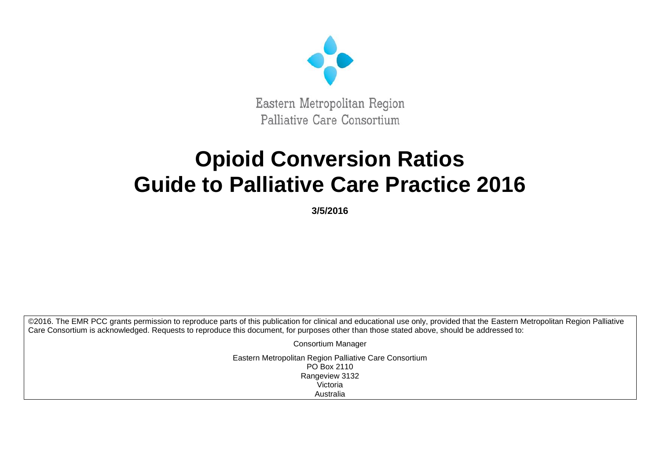

# **Opioid Conversion Ratios Guide to Palliative Care Practice 2016**

**3/5/2016**

©2016. The EMR PCC grants permission to reproduce parts of this publication for clinical and educational use only, provided that the Eastern Metropolitan Region Palliative Care Consortium is acknowledged. Requests to reproduce this document, for purposes other than those stated above, should be addressed to:

> Consortium Manager Eastern Metropolitan Region Palliative Care Consortium PO Box 2110 Rangeview 3132 Victoria Australia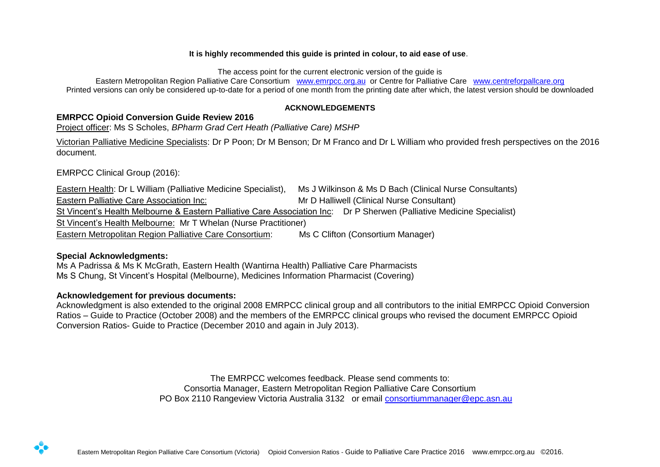#### **It is highly recommended this guide is printed in colour, to aid ease of use**.

The access point for the current electronic version of the guide is

Eastern Metropolitan Region Palliative Care Consortium [www.emrpcc.org.au](http://www.emrpcc.org.au/) or Centre for Palliative Care [www.centreforpallcare.org](http://www.centreforpallcare.org/)  Printed versions can only be considered up-to-date for a period of one month from the printing date after which, the latest version should be downloaded

#### **ACKNOWLEDGEMENTS**

## <span id="page-1-0"></span>**EMRPCC Opioid Conversion Guide Review 2016**

Project officer: Ms S Scholes, *BPharm Grad Cert Heath (Palliative Care) MSHP* 

Victorian Palliative Medicine Specialists: Dr P Poon; Dr M Benson; Dr M Franco and Dr L William who provided fresh perspectives on the 2016 document.

EMRPCC Clinical Group (2016):

Eastern Health: Dr L William (Palliative Medicine Specialist), Ms J Wilkinson & Ms D Bach (Clinical Nurse Consultants) Eastern Palliative Care Association Inc: Mr D Halliwell (Clinical Nurse Consultant) St Vincent's Health Melbourne & Eastern Palliative Care Association Inc: Dr P Sherwen (Palliative Medicine Specialist) St Vincent's Health Melbourne: Mr T Whelan (Nurse Practitioner) Eastern Metropolitan Region Palliative Care Consortium: Ms C Clifton (Consortium Manager)

## **Special Acknowledgments:**

Ms A Padrissa & Ms K McGrath, Eastern Health (Wantirna Health) Palliative Care Pharmacists Ms S Chung, St Vincent's Hospital (Melbourne), Medicines Information Pharmacist (Covering)

## **Acknowledgement for previous documents:**

Acknowledgment is also extended to the original 2008 EMRPCC clinical group and all contributors to the initial EMRPCC Opioid Conversion Ratios – Guide to Practice (October 2008) and the members of the EMRPCC clinical groups who revised the document EMRPCC Opioid Conversion Ratios- Guide to Practice (December 2010 and again in July 2013).

> The EMRPCC welcomes feedback. Please send comments to: Consortia Manager, Eastern Metropolitan Region Palliative Care Consortium PO Box 2110 Rangeview Victoria Australia 3132 or email [consortiummanager@epc.asn.au](mailto:consortiummanager@epc.asn.au)

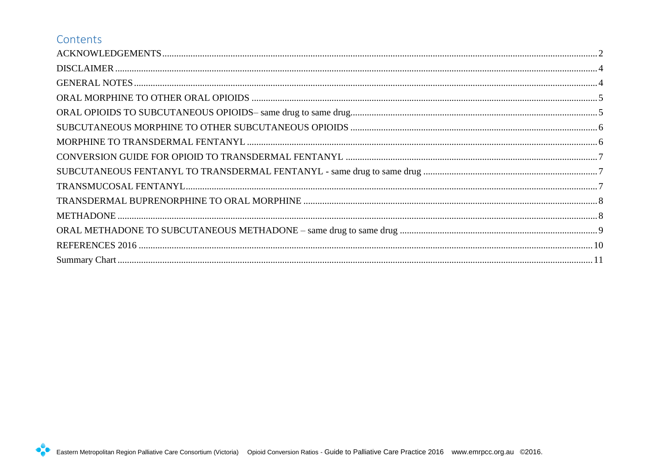## Contents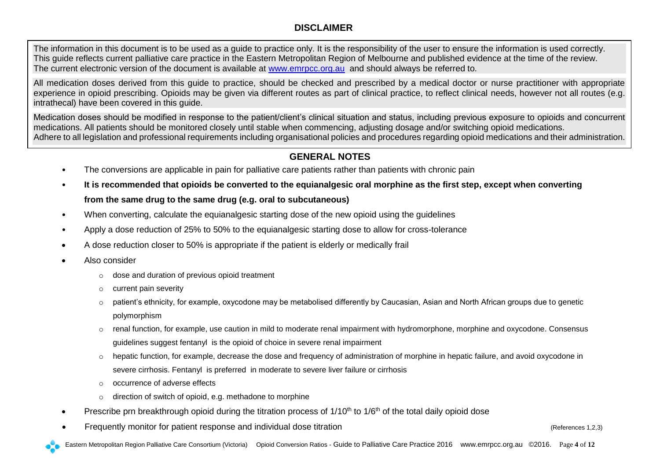## **DISCLAIMER**

<span id="page-3-0"></span>The information in this document is to be used as a guide to practice only. It is the responsibility of the user to ensure the information is used correctly. This guide reflects current palliative care practice in the Eastern Metropolitan Region of Melbourne and published evidence at the time of the review. The current electronic version of the document is available at [www.emrpcc.org.au](http://www.emrpcc.org.au/) and should always be referred to.

All medication doses derived from this guide to practice, should be checked and prescribed by a medical doctor or nurse practitioner with appropriate experience in opioid prescribing. Opioids may be given via different routes as part of clinical practice, to reflect clinical needs, however not all routes (e.g. intrathecal) have been covered in this guide.

Medication doses should be modified in response to the patient/client's clinical situation and status, including previous exposure to opioids and concurrent medications. All patients should be monitored closely until stable when commencing, adjusting dosage and/or switching opioid medications. Adhere to all legislation and professional requirements including organisational policies and procedures regarding opioid medications and their administration.

## **GENERAL NOTES**

- <span id="page-3-1"></span>• The conversions are applicable in pain for palliative care patients rather than patients with chronic pain
- **It is recommended that opioids be converted to the equianalgesic oral morphine as the first step, except when converting from the same drug to the same drug (e.g. oral to subcutaneous)**
- When converting, calculate the equianalgesic starting dose of the new opioid using the quidelines
- Apply a dose reduction of 25% to 50% to the equianalgesic starting dose to allow for cross-tolerance
- A dose reduction closer to 50% is appropriate if the patient is elderly or medically frail
- Also consider
	- o dose and duration of previous opioid treatment
	- o current pain severity
	- o patient's ethnicity, for example, oxycodone may be metabolised differently by Caucasian, Asian and North African groups due to genetic polymorphism
	- o renal function, for example, use caution in mild to moderate renal impairment with hydromorphone, morphine and oxycodone. Consensus guidelines suggest fentanyl is the opioid of choice in severe renal impairment
	- $\circ$  hepatic function, for example, decrease the dose and frequency of administration of morphine in hepatic failure, and avoid oxycodone in severe cirrhosis. Fentanyl is preferred in moderate to severe liver failure or cirrhosis
	- o occurrence of adverse effects
	- o direction of switch of opioid, e.g. methadone to morphine
- Prescribe prn breakthrough opioid during the titration process of  $1/10<sup>th</sup>$  to  $1/6<sup>th</sup>$  of the total daily opioid dose
- Frequently monitor for patient response and individual dose titration (References 1,2,3)

Eastern Metropolitan Region Palliative Care Consortium (Victoria) Opioid Conversion Ratios - Guide to Palliative Care Practice 2016 www.emrpcc.org.au ©2016. Page **4** of **12**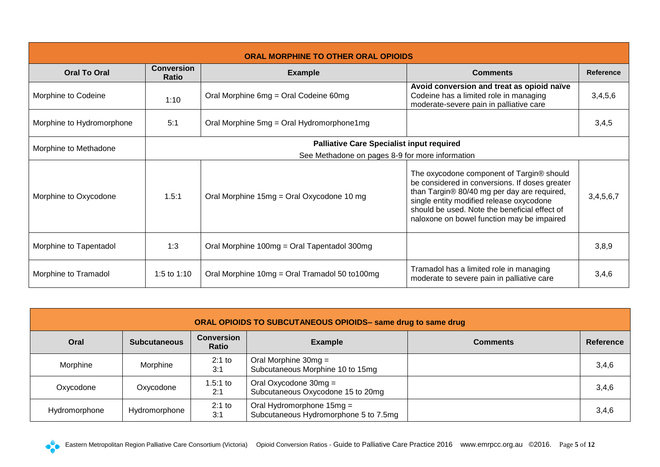<span id="page-4-0"></span>

| <b>ORAL MORPHINE TO OTHER ORAL OPIOIDS</b> |                            |                                                  |                                                                                                                                                                                                                                                                                       |                  |  |  |
|--------------------------------------------|----------------------------|--------------------------------------------------|---------------------------------------------------------------------------------------------------------------------------------------------------------------------------------------------------------------------------------------------------------------------------------------|------------------|--|--|
| <b>Oral To Oral</b>                        | <b>Conversion</b><br>Ratio | <b>Example</b>                                   | <b>Comments</b>                                                                                                                                                                                                                                                                       | <b>Reference</b> |  |  |
| Morphine to Codeine                        | 1:10                       | Oral Morphine 6mg = Oral Codeine 60mg            | Avoid conversion and treat as opioid naïve<br>Codeine has a limited role in managing<br>moderate-severe pain in palliative care                                                                                                                                                       | 3,4,5,6          |  |  |
| Morphine to Hydromorphone                  | 5:1                        | Oral Morphine 5mg = Oral Hydromorphone1mg        |                                                                                                                                                                                                                                                                                       | 3,4,5            |  |  |
| Morphine to Methadone                      |                            | <b>Palliative Care Specialist input required</b> |                                                                                                                                                                                                                                                                                       |                  |  |  |
|                                            |                            | See Methadone on pages 8-9 for more information  |                                                                                                                                                                                                                                                                                       |                  |  |  |
| Morphine to Oxycodone                      | 1.5:1                      | Oral Morphine 15mg = Oral Oxycodone 10 mg        | The oxycodone component of Targin® should<br>be considered in conversions. If doses greater<br>than Targin® 80/40 mg per day are required,<br>single entity modified release oxycodone<br>should be used. Note the beneficial effect of<br>naloxone on bowel function may be impaired | 3,4,5,6,7        |  |  |
| Morphine to Tapentadol                     | 1:3                        | Oral Morphine 100mg = Oral Tapentadol 300mg      |                                                                                                                                                                                                                                                                                       | 3,8,9            |  |  |
| Morphine to Tramadol                       | 1:5 to 1:10                | Oral Morphine 10mg = Oral Tramadol 50 to100mg    | Tramadol has a limited role in managing<br>moderate to severe pain in palliative care                                                                                                                                                                                                 | 3,4,6            |  |  |

<span id="page-4-1"></span>

| ORAL OPIOIDS TO SUBCUTANEOUS OPIOIDS- same drug to same drug |                     |                                                                 |                                                                    |  |                  |  |  |  |
|--------------------------------------------------------------|---------------------|-----------------------------------------------------------------|--------------------------------------------------------------------|--|------------------|--|--|--|
| Oral                                                         | <b>Subcutaneous</b> | <b>Conversion</b><br><b>Example</b><br><b>Comments</b><br>Ratio |                                                                    |  | <b>Reference</b> |  |  |  |
| Morphine                                                     | Morphine            | $2:1$ to<br>3:1                                                 | Oral Morphine $30mg =$<br>Subcutaneous Morphine 10 to 15mg         |  | 3,4,6            |  |  |  |
| Oxycodone                                                    | Oxycodone           | $1.5:1$ to<br>2:1                                               | Oral Oxycodone $30mg =$<br>Subcutaneous Oxycodone 15 to 20mg       |  | 3,4,6            |  |  |  |
| Hydromorphone                                                | Hydromorphone       | $2:1$ to<br>3:1                                                 | Oral Hydromorphone 15mg =<br>Subcutaneous Hydromorphone 5 to 7.5mg |  | 3,4,6            |  |  |  |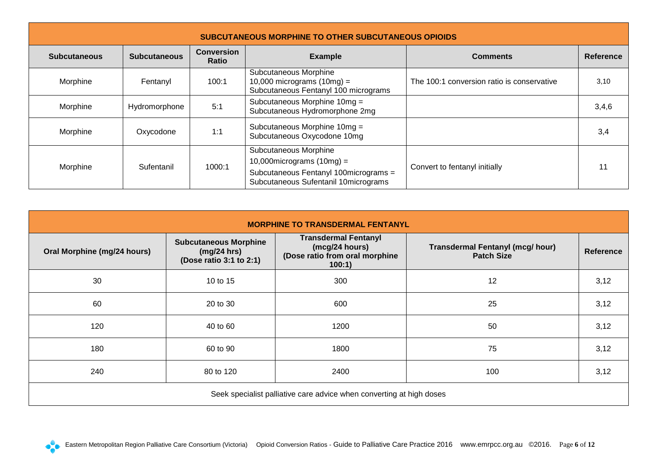<span id="page-5-0"></span>

| <b>SUBCUTANEOUS MORPHINE TO OTHER SUBCUTANEOUS OPIOIDS</b>               |               |        |                                                                                                                                        |                                            |                  |  |  |
|--------------------------------------------------------------------------|---------------|--------|----------------------------------------------------------------------------------------------------------------------------------------|--------------------------------------------|------------------|--|--|
| <b>Conversion</b><br><b>Subcutaneous</b><br><b>Subcutaneous</b><br>Ratio |               |        | <b>Example</b>                                                                                                                         | <b>Comments</b>                            | <b>Reference</b> |  |  |
| Morphine                                                                 | Fentanyl      | 100:1  | Subcutaneous Morphine<br>10,000 micrograms $(10mg)$ =<br>Subcutaneous Fentanyl 100 micrograms                                          | The 100:1 conversion ratio is conservative | 3,10             |  |  |
| Morphine                                                                 | Hydromorphone | 5:1    | Subcutaneous Morphine 10mg =<br>Subcutaneous Hydromorphone 2mg                                                                         |                                            | 3,4,6            |  |  |
| Morphine                                                                 | Oxycodone     | 1:1    | Subcutaneous Morphine 10mg =<br>Subcutaneous Oxycodone 10mg                                                                            |                                            | 3,4              |  |  |
| Morphine                                                                 | Sufentanil    | 1000:1 | Subcutaneous Morphine<br>10,000 micrograms $(10mg)$ =<br>Subcutaneous Fentanyl 100micrograms =<br>Subcutaneous Sufentanil 10micrograms | Convert to fentanyl initially              | 11               |  |  |

<span id="page-5-1"></span>

| <b>MORPHINE TO TRANSDERMAL FENTANYL</b>                              |                                                                        |                                                                                           |                                                              |           |  |  |  |
|----------------------------------------------------------------------|------------------------------------------------------------------------|-------------------------------------------------------------------------------------------|--------------------------------------------------------------|-----------|--|--|--|
| Oral Morphine (mg/24 hours)                                          | <b>Subcutaneous Morphine</b><br>(mg/24 hrs)<br>(Dose ratio 3:1 to 2:1) | <b>Transdermal Fentanyl</b><br>(mcg/24 hours)<br>(Dose ratio from oral morphine<br>100:1) | <b>Transdermal Fentanyl (mcg/ hour)</b><br><b>Patch Size</b> | Reference |  |  |  |
| 30                                                                   | 10 to 15                                                               | 300                                                                                       | 12                                                           | 3,12      |  |  |  |
| 60                                                                   | 20 to 30                                                               | 600                                                                                       | 25                                                           | 3,12      |  |  |  |
| 120                                                                  | 40 to 60                                                               | 1200                                                                                      | 50                                                           | 3,12      |  |  |  |
| 180                                                                  | 60 to 90                                                               | 1800                                                                                      | 75                                                           | 3,12      |  |  |  |
| 240                                                                  | 80 to 120                                                              | 2400                                                                                      | 100                                                          | 3,12      |  |  |  |
| Seek specialist palliative care advice when converting at high doses |                                                                        |                                                                                           |                                                              |           |  |  |  |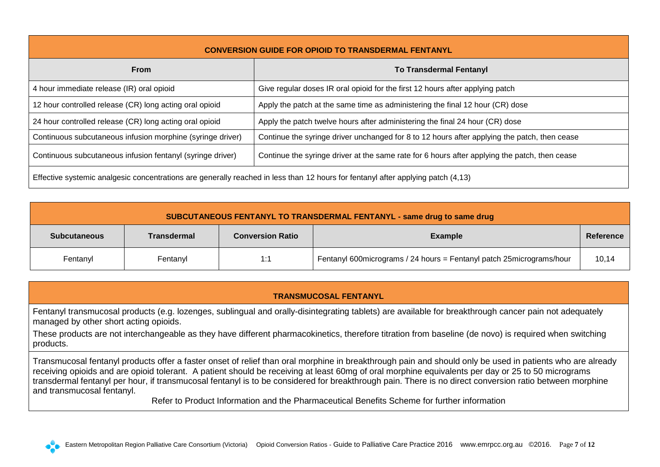<span id="page-6-0"></span>

| <b>CONVERSION GUIDE FOR OPIOID TO TRANSDERMAL FENTANYL</b>                                                                       |                                                                                               |  |  |  |  |
|----------------------------------------------------------------------------------------------------------------------------------|-----------------------------------------------------------------------------------------------|--|--|--|--|
| <b>To Transdermal Fentanyl</b><br><b>From</b>                                                                                    |                                                                                               |  |  |  |  |
| 4 hour immediate release (IR) oral opioid                                                                                        | Give regular doses IR oral opioid for the first 12 hours after applying patch                 |  |  |  |  |
| 12 hour controlled release (CR) long acting oral opioid                                                                          | Apply the patch at the same time as administering the final 12 hour (CR) dose                 |  |  |  |  |
| 24 hour controlled release (CR) long acting oral opioid                                                                          | Apply the patch twelve hours after administering the final 24 hour (CR) dose                  |  |  |  |  |
| Continuous subcutaneous infusion morphine (syringe driver)                                                                       | Continue the syringe driver unchanged for 8 to 12 hours after applying the patch, then cease  |  |  |  |  |
| Continuous subcutaneous infusion fentanyl (syringe driver)                                                                       | Continue the syringe driver at the same rate for 6 hours after applying the patch, then cease |  |  |  |  |
| Effective systemic analgesic concentrations are generally reached in less than 12 hours for fentanyl after applying patch (4,13) |                                                                                               |  |  |  |  |

<span id="page-6-1"></span>

| SUBCUTANEOUS FENTANYL TO TRANSDERMAL FENTANYL - same drug to same drug                              |          |     |                                                                        |       |  |  |  |
|-----------------------------------------------------------------------------------------------------|----------|-----|------------------------------------------------------------------------|-------|--|--|--|
| <b>Conversion Ratio</b><br><b>Transdermal</b><br><b>Example</b><br><b>Subcutaneous</b><br>Reference |          |     |                                                                        |       |  |  |  |
| Fentanyl                                                                                            | Fentanyl | 1:1 | Fentanyl 600 micrograms / 24 hours = Fentanyl patch 25 micrograms/hour | 10,14 |  |  |  |

## **TRANSMUCOSAL FENTANYL**

<span id="page-6-2"></span>Fentanyl transmucosal products (e.g. lozenges, sublingual and orally-disintegrating tablets) are available for breakthrough cancer pain not adequately managed by other short acting opioids.

These products are not interchangeable as they have different pharmacokinetics, therefore titration from baseline (de novo) is required when switching products.

Transmucosal fentanyl products offer a faster onset of relief than oral morphine in breakthrough pain and should only be used in patients who are already receiving opioids and are opioid tolerant. A patient should be receiving at least 60mg of oral morphine equivalents per day or 25 to 50 micrograms transdermal fentanyl per hour, if transmucosal fentanyl is to be considered for breakthrough pain. There is no direct conversion ratio between morphine and transmucosal fentanyl.

Refer to Product Information and the Pharmaceutical Benefits Scheme for further information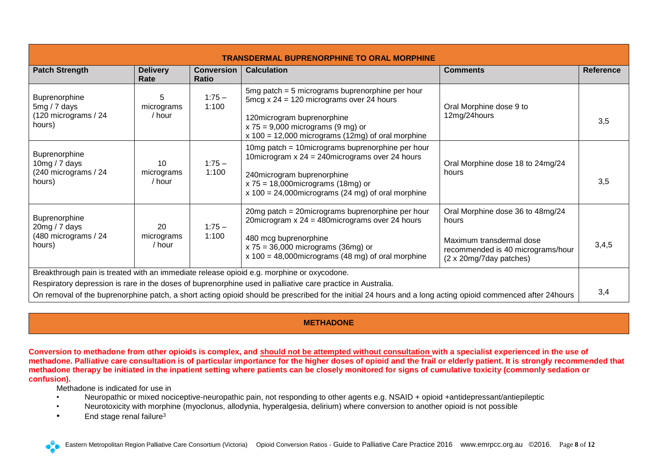<span id="page-7-0"></span>

| <b>TRANSDERMAL BUPRENORPHINE TO ORAL MORPHINE</b>                                                                                                                                                                                                                                                                                                                                                                                                                                              |                            |                                   |                                                                                                                                                                                                                                      |                                           |                  |
|------------------------------------------------------------------------------------------------------------------------------------------------------------------------------------------------------------------------------------------------------------------------------------------------------------------------------------------------------------------------------------------------------------------------------------------------------------------------------------------------|----------------------------|-----------------------------------|--------------------------------------------------------------------------------------------------------------------------------------------------------------------------------------------------------------------------------------|-------------------------------------------|------------------|
| <b>Patch Strength</b>                                                                                                                                                                                                                                                                                                                                                                                                                                                                          | <b>Delivery</b><br>Rate    | <b>Conversion</b><br><b>Ratio</b> | <b>Calculation</b>                                                                                                                                                                                                                   | <b>Comments</b>                           | <b>Reference</b> |
| Buprenorphine<br>$5mg/7$ days<br>(120 micrograms / 24<br>hours)                                                                                                                                                                                                                                                                                                                                                                                                                                | 5<br>micrograms<br>/ hour  | $1:75 -$<br>1:100                 | 5 $mg$ patch = 5 micrograms buprenorphine per hour<br>5mcg x $24 = 120$ micrograms over 24 hours<br>120microgram buprenorphine<br>$x 75 = 9,000$ micrograms (9 mg) or<br>$x 100 = 12,000$ micrograms (12mg) of oral morphine         | Oral Morphine dose 9 to<br>12mg/24hours   | 3,5              |
| Buprenorphine<br>10mg / $7$ days<br>(240 micrograms / 24<br>hours)                                                                                                                                                                                                                                                                                                                                                                                                                             | 10<br>micrograms<br>/ hour | $1:75-$<br>1:100                  | 10mg patch = 10micrograms buprenorphine per hour<br>10 microgram $x 24 = 240$ micrograms over 24 hours<br>240microgram buprenorphine<br>$x 75 = 18,000$ micrograms (18mg) or<br>$x 100 = 24,000$ micrograms (24 mg) of oral morphine | Oral Morphine dose 18 to 24mg/24<br>hours | 3,5              |
| Oral Morphine dose 36 to 48mg/24<br>20mg patch = 20micrograms buprenorphine per hour<br>Buprenorphine<br>20 microgram $x 24 = 480$ micrograms over 24 hours<br>hours<br>20<br>20mg / 7 days<br>$1:75-$<br>(480 micrograms / 24<br>1:100<br>micrograms<br>480 mcg buprenorphine<br>Maximum transdermal dose<br>hours)<br>/ hour<br>$x 75 = 36,000$ micrograms (36mg) or<br>recommended is 40 micrograms/hour<br>$x$ 100 = 48,000 micrograms (48 mg) of oral morphine<br>(2 x 20mg/7day patches) |                            |                                   |                                                                                                                                                                                                                                      |                                           | 3,4,5            |
| Breakthrough pain is treated with an immediate release opioid e.g. morphine or oxycodone.<br>Respiratory depression is rare in the doses of buprenorphine used in palliative care practice in Australia.<br>On removal of the buprenorphine patch, a short acting opioid should be prescribed for the initial 24 hours and a long acting opioid commenced after 24 hours                                                                                                                       |                            |                                   |                                                                                                                                                                                                                                      | 3,4                                       |                  |

## **METHADONE**

<span id="page-7-1"></span>**Conversion to methadone from other opioids is complex, and should not be attempted without consultation with a specialist experienced in the use of methadone. Palliative care consultation is of particular importance for the higher doses of opioid and the frail or elderly patient. It is strongly recommended that methadone therapy be initiated in the inpatient setting where patients can be closely monitored for signs of cumulative toxicity (commonly sedation or confusion).** 

Methadone is indicated for use in

- Neuropathic or mixed nociceptive-neuropathic pain, not responding to other agents e.g. NSAID + opioid +antidepressant/antiepileptic
- Neurotoxicity with morphine (myoclonus, allodynia, hyperalgesia, delirium) where conversion to another opioid is not possible
- End stage renal failure<sup>3</sup>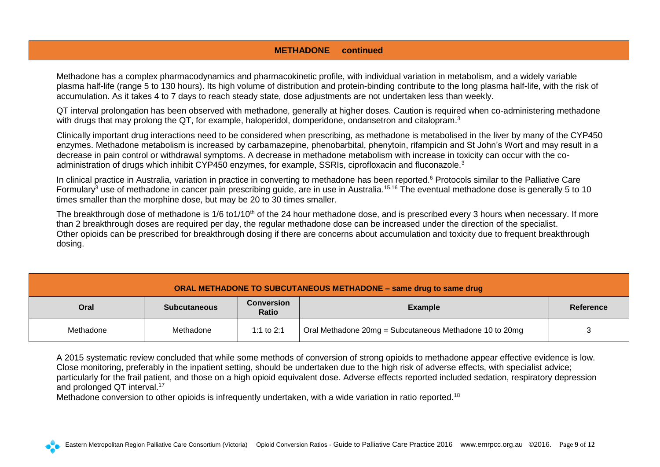## **METHADONE continued**

Methadone has a complex pharmacodynamics and pharmacokinetic profile, with individual variation in metabolism, and a widely variable plasma half-life (range 5 to 130 hours). Its high volume of distribution and protein-binding contribute to the long plasma half-life, with the risk of accumulation. As it takes 4 to 7 days to reach steady state, dose adjustments are not undertaken less than weekly.

QT interval prolongation has been observed with methadone, generally at higher doses. Caution is required when co-administering methadone with drugs that may prolong the QT, for example, haloperidol, domperidone, ondansetron and citalopram.<sup>3</sup>

Clinically important drug interactions need to be considered when prescribing, as methadone is metabolised in the liver by many of the CYP450 enzymes. Methadone metabolism is increased by carbamazepine, phenobarbital, phenytoin, rifampicin and St John's Wort and may result in a decrease in pain control or withdrawal symptoms. A decrease in methadone metabolism with increase in toxicity can occur with the coadministration of drugs which inhibit CYP450 enzymes, for example, SSRIs, ciprofloxacin and fluconazole.<sup>3</sup>

In clinical practice in Australia, variation in practice in converting to methadone has been reported. <sup>6</sup> Protocols similar to the Palliative Care Formulary<sup>3</sup> use of methadone in cancer pain prescribing guide, are in use in Australia.<sup>15,16</sup> The eventual methadone dose is generally 5 to 10 times smaller than the morphine dose, but may be 20 to 30 times smaller.

The breakthrough dose of methadone is 1/6 to1/10<sup>th</sup> of the 24 hour methadone dose, and is prescribed every 3 hours when necessary. If more than 2 breakthrough doses are required per day, the regular methadone dose can be increased under the direction of the specialist. Other opioids can be prescribed for breakthrough dosing if there are concerns about accumulation and toxicity due to frequent breakthrough dosing.

<span id="page-8-0"></span>

| ORAL METHADONE TO SUBCUTANEOUS METHADONE - same drug to same drug                                      |           |            |                                                         |  |  |  |
|--------------------------------------------------------------------------------------------------------|-----------|------------|---------------------------------------------------------|--|--|--|
| <b>Conversion</b><br>Oral<br><b>Example</b><br><b>Reference</b><br><b>Subcutaneous</b><br><b>Ratio</b> |           |            |                                                         |  |  |  |
| Methadone                                                                                              | Methadone | 1:1 to 2:1 | Oral Methadone 20mg = Subcutaneous Methadone 10 to 20mg |  |  |  |

A 2015 systematic review concluded that while some methods of conversion of strong opioids to methadone appear effective evidence is low. Close monitoring, preferably in the inpatient setting, should be undertaken due to the high risk of adverse effects, with specialist advice; particularly for the frail patient, and those on a high opioid equivalent dose. Adverse effects reported included sedation, respiratory depression and prolonged QT interval.<sup>17</sup>

Methadone conversion to other opioids is infrequently undertaken, with a wide variation in ratio reported.<sup>18</sup>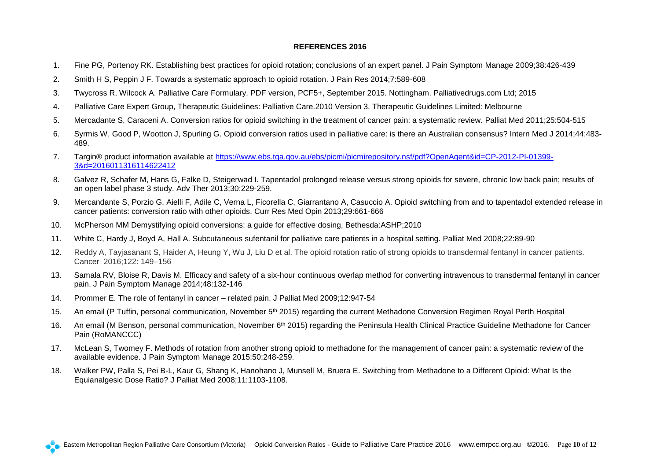#### **REFERENCES 2016**

- <span id="page-9-0"></span>1. Fine PG, Portenoy RK. Establishing best practices for opioid rotation; conclusions of an expert panel. J Pain Symptom Manage 2009;38:426-439
- 2. Smith H S, Peppin J F. Towards a systematic approach to opioid rotation. J Pain Res 2014;7:589-608
- 3. Twycross R, Wilcock A. Palliative Care Formulary. PDF version, PCF5+, September 2015. Nottingham. Palliativedrugs.com Ltd; 2015
- 4. Palliative Care Expert Group, Therapeutic Guidelines: Palliative Care.2010 Version 3. Therapeutic Guidelines Limited: Melbourne
- 5. Mercadante S, Caraceni A. Conversion ratios for opioid switching in the treatment of cancer pain: a systematic review. Palliat Med 2011;25:504-515
- 6. Syrmis W, Good P, Wootton J, Spurling G. Opioid conversion ratios used in palliative care: is there an Australian consensus? Intern Med J 2014;44:483- 489.
- 7. Targin® product information available at [https://www.ebs.tga.gov.au/ebs/picmi/picmirepository.nsf/pdf?OpenAgent&id=CP-2012-PI-01399-](https://www.ebs.tga.gov.au/ebs/picmi/picmirepository.nsf/pdf?OpenAgent&id=CP-2012-PI-01399-3&d=2016011316114622412) [3&d=2016011316114622412](https://www.ebs.tga.gov.au/ebs/picmi/picmirepository.nsf/pdf?OpenAgent&id=CP-2012-PI-01399-3&d=2016011316114622412)
- 8. Galvez R, Schafer M, Hans G, Falke D, Steigerwad I. Tapentadol prolonged release versus strong opioids for severe, chronic low back pain; results of an open label phase 3 study. Adv Ther 2013;30:229-259.
- 9. Mercandante S, Porzio G, Aielli F, Adile C, Verna L, Ficorella C, Giarrantano A, Casuccio A. Opioid switching from and to tapentadol extended release in cancer patients: conversion ratio with other opioids. Curr Res Med Opin 2013;29:661-666
- 10. McPherson MM Demystifying opioid conversions: a guide for effective dosing, Bethesda:ASHP;2010
- 11. White C, Hardy J, Boyd A, Hall A. Subcutaneous sufentanil for palliative care patients in a hospital setting. Palliat Med 2008;22:89-90
- 12. Reddy A, Tayjasanant S, Haider A, Heung Y, Wu J, Liu D et al. The opioid rotation ratio of strong opioids to transdermal fentanyl in cancer patients. Cancer 2016;122: 149–156
- 13. Samala RV, Bloise R, Davis M. Efficacy and safety of a six-hour continuous overlap method for converting intravenous to transdermal fentanyl in cancer pain. J Pain Symptom Manage 2014;48:132-146
- 14. Prommer E. The role of fentanyl in cancer related pain. J Palliat Med 2009;12:947-54
- 15. An email (P Tuffin, personal communication, November 5<sup>th</sup> 2015) regarding the current Methadone Conversion Regimen Royal Perth Hospital
- 16. An email (M Benson, personal communication, November 6th 2015) regarding the Peninsula Health Clinical Practice Guideline Methadone for Cancer Pain (RoMANCCC)
- 17. McLean S, Twomey F. Methods of rotation from another strong opioid to methadone for the management of cancer pain: a systematic review of the available evidence. J Pain Symptom Manage 2015;50:248-259.
- 18. Walker PW, Palla S, Pei B-L, Kaur G, Shang K, Hanohano J, Munsell M, Bruera E. Switching from Methadone to a Different Opioid: What Is the Equianalgesic Dose Ratio? J Palliat Med 2008;11:1103-1108.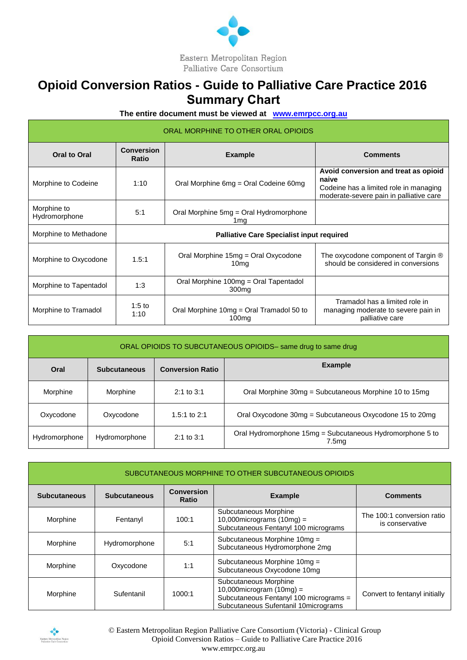

## <span id="page-10-0"></span> **Opioid Conversion Ratios - Guide to Palliative Care Practice 2016 Summary Chart**

**The entire document must be viewed at [www.emrpcc.org.au](http://www.emrpcc.org.au/)**

| ORAL MORPHINE TO OTHER ORAL OPIOIDS |                            |                                                            |                                                                                                                                    |  |  |  |
|-------------------------------------|----------------------------|------------------------------------------------------------|------------------------------------------------------------------------------------------------------------------------------------|--|--|--|
| <b>Oral to Oral</b>                 | <b>Conversion</b><br>Ratio | <b>Example</b>                                             | <b>Comments</b>                                                                                                                    |  |  |  |
| Morphine to Codeine                 | 1:10                       | Oral Morphine 6mg = Oral Codeine 60mg                      | Avoid conversion and treat as opioid<br>naive<br>Codeine has a limited role in managing<br>moderate-severe pain in palliative care |  |  |  |
| Morphine to<br>Hydromorphone        | 5:1                        | Oral Morphine 5mg = Oral Hydromorphone<br>1 mg             |                                                                                                                                    |  |  |  |
| Morphine to Methadone               |                            | <b>Palliative Care Specialist input required</b>           |                                                                                                                                    |  |  |  |
| Morphine to Oxycodone               | 1.5:1                      | Oral Morphine 15mg = Oral Oxycodone<br>10 <sub>mg</sub>    | The oxycodone component of Targin $\circledR$<br>should be considered in conversions                                               |  |  |  |
| Morphine to Tapentadol              | 1:3                        | Oral Morphine 100mg = Oral Tapentadol<br>300 <sub>mq</sub> |                                                                                                                                    |  |  |  |
| Morphine to Tramadol                | 1:5 to<br>1:10             | Oral Morphine 10mg = Oral Tramadol 50 to<br>100mg          | Tramadol has a limited role in<br>managing moderate to severe pain in<br>palliative care                                           |  |  |  |

| ORAL OPIOIDS TO SUBCUTANEOUS OPIOIDS- same drug to same drug |                     |                         |                                                                    |  |  |  |
|--------------------------------------------------------------|---------------------|-------------------------|--------------------------------------------------------------------|--|--|--|
| Oral                                                         | <b>Subcutaneous</b> | <b>Conversion Ratio</b> | <b>Example</b>                                                     |  |  |  |
| Morphine                                                     | Morphine            | $2:1$ to $3:1$          | Oral Morphine 30mg = Subcutaneous Morphine 10 to 15mg              |  |  |  |
| Oxycodone                                                    | Oxycodone           | 1.5:1 to $2:1$          | Oral Oxycodone 30mg = Subcutaneous Oxycodone 15 to 20mg            |  |  |  |
| Hydromorphone                                                | Hydromorphone       | $2:1$ to $3:1$          | Oral Hydromorphone 15mg = Subcutaneous Hydromorphone 5 to<br>7.5mg |  |  |  |

| SUBCUTANEOUS MORPHINE TO OTHER SUBCUTANEOUS OPIOIDS |                     |                                   |                                                                                                                                        |                                               |  |  |
|-----------------------------------------------------|---------------------|-----------------------------------|----------------------------------------------------------------------------------------------------------------------------------------|-----------------------------------------------|--|--|
| <b>Subcutaneous</b>                                 | <b>Subcutaneous</b> | <b>Conversion</b><br><b>Ratio</b> | <b>Example</b>                                                                                                                         | <b>Comments</b>                               |  |  |
| Morphine                                            | Fentanyl            | 100:1                             | Subcutaneous Morphine<br>10,000 micrograms $(10mg)$ =<br>Subcutaneous Fentanyl 100 micrograms                                          | The 100:1 conversion ratio<br>is conservative |  |  |
| Morphine                                            | Hydromorphone       | 5:1                               | Subcutaneous Morphine 10mg =<br>Subcutaneous Hydromorphone 2mg                                                                         |                                               |  |  |
| Morphine                                            | Oxycodone           | 1:1                               | Subcutaneous Morphine 10mg =<br>Subcutaneous Oxycodone 10mg                                                                            |                                               |  |  |
| Morphine                                            | Sufentanil          | 1000:1                            | Subcutaneous Morphine<br>10,000 microgram $(10mg)$ =<br>Subcutaneous Fentanyl 100 micrograms =<br>Subcutaneous Sufentanil 10micrograms | Convert to fentanyl initially                 |  |  |